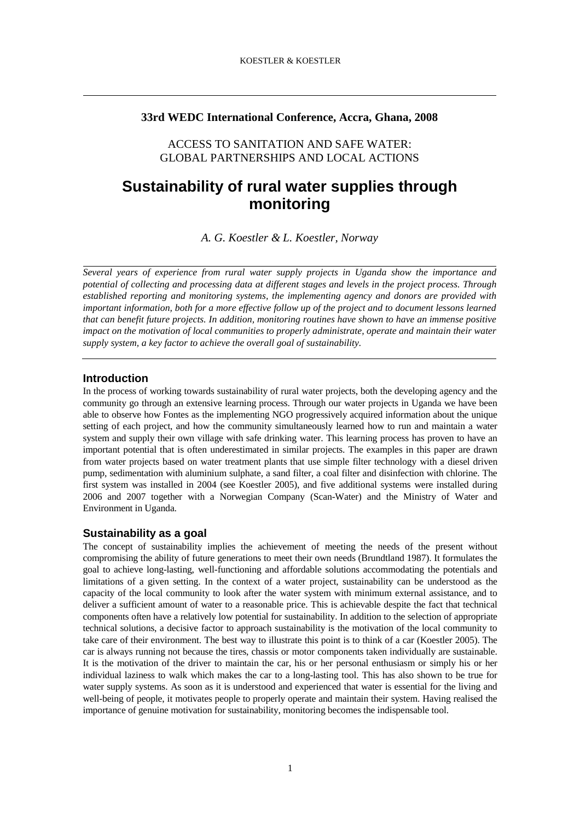## **33rd WEDC International Conference, Accra, Ghana, 2008**

ACCESS TO SANITATION AND SAFE WATER: GLOBAL PARTNERSHIPS AND LOCAL ACTIONS

# **Sustainability of rural water supplies through monitoring**

*A. G. Koestler & L. Koestler, Norway* 

*Several years of experience from rural water supply projects in Uganda show the importance and potential of collecting and processing data at different stages and levels in the project process. Through established reporting and monitoring systems, the implementing agency and donors are provided with important information, both for a more effective follow up of the project and to document lessons learned that can benefit future projects. In addition, monitoring routines have shown to have an immense positive impact on the motivation of local communities to properly administrate, operate and maintain their water supply system, a key factor to achieve the overall goal of sustainability.* 

## **Introduction**

In the process of working towards sustainability of rural water projects, both the developing agency and the community go through an extensive learning process. Through our water projects in Uganda we have been able to observe how Fontes as the implementing NGO progressively acquired information about the unique setting of each project, and how the community simultaneously learned how to run and maintain a water system and supply their own village with safe drinking water. This learning process has proven to have an important potential that is often underestimated in similar projects. The examples in this paper are drawn from water projects based on water treatment plants that use simple filter technology with a diesel driven pump, sedimentation with aluminium sulphate, a sand filter, a coal filter and disinfection with chlorine. The first system was installed in 2004 (see Koestler 2005), and five additional systems were installed during 2006 and 2007 together with a Norwegian Company (Scan-Water) and the Ministry of Water and Environment in Uganda.

## **Sustainability as a goal**

The concept of sustainability implies the achievement of meeting the needs of the present without compromising the ability of future generations to meet their own needs (Brundtland 1987). It formulates the goal to achieve long-lasting, well-functioning and affordable solutions accommodating the potentials and limitations of a given setting. In the context of a water project, sustainability can be understood as the capacity of the local community to look after the water system with minimum external assistance, and to deliver a sufficient amount of water to a reasonable price. This is achievable despite the fact that technical components often have a relatively low potential for sustainability. In addition to the selection of appropriate technical solutions, a decisive factor to approach sustainability is the motivation of the local community to take care of their environment. The best way to illustrate this point is to think of a car (Koestler 2005). The car is always running not because the tires, chassis or motor components taken individually are sustainable. It is the motivation of the driver to maintain the car, his or her personal enthusiasm or simply his or her individual laziness to walk which makes the car to a long-lasting tool. This has also shown to be true for water supply systems. As soon as it is understood and experienced that water is essential for the living and well-being of people, it motivates people to properly operate and maintain their system. Having realised the importance of genuine motivation for sustainability, monitoring becomes the indispensable tool.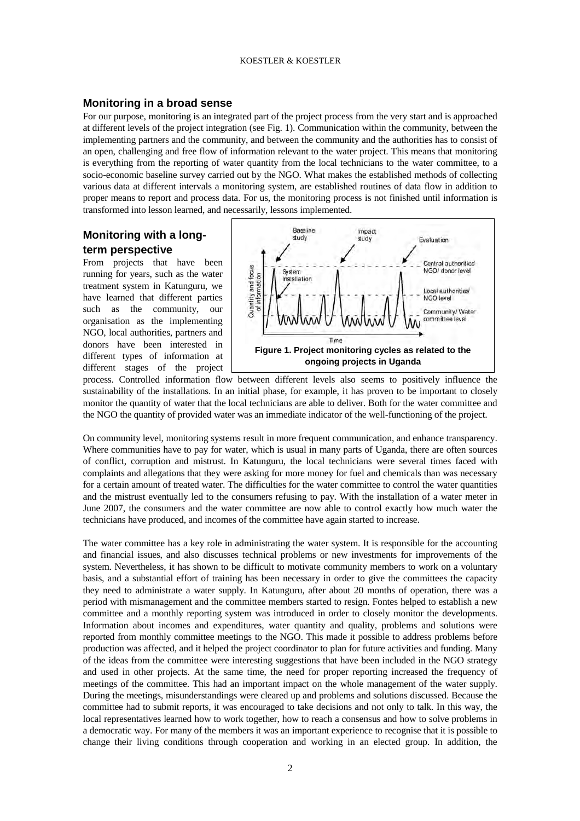#### KOESTLER & KOESTLER

#### **Monitoring in a broad sense**

For our purpose, monitoring is an integrated part of the project process from the very start and is approached at different levels of the project integration (see Fig. 1). Communication within the community, between the implementing partners and the community, and between the community and the authorities has to consist of an open, challenging and free flow of information relevant to the water project. This means that monitoring is everything from the reporting of water quantity from the local technicians to the water committee, to a socio-economic baseline survey carried out by the NGO. What makes the established methods of collecting various data at different intervals a monitoring system, are established routines of data flow in addition to proper means to report and process data. For us, the monitoring process is not finished until information is transformed into lesson learned, and necessarily, lessons implemented.

## **Monitoring with a longterm perspective**

From projects that have been running for years, such as the water treatment system in Katunguru, we have learned that different parties such as the community, our organisation as the implementing NGO, local authorities, partners and donors have been interested in different types of information at different stages of the project



process. Controlled information flow between different levels also seems to positively influence the sustainability of the installations. In an initial phase, for example, it has proven to be important to closely monitor the quantity of water that the local technicians are able to deliver. Both for the water committee and the NGO the quantity of provided water was an immediate indicator of the well-functioning of the project.

On community level, monitoring systems result in more frequent communication, and enhance transparency. Where communities have to pay for water, which is usual in many parts of Uganda, there are often sources of conflict, corruption and mistrust. In Katunguru, the local technicians were several times faced with complaints and allegations that they were asking for more money for fuel and chemicals than was necessary for a certain amount of treated water. The difficulties for the water committee to control the water quantities and the mistrust eventually led to the consumers refusing to pay. With the installation of a water meter in June 2007, the consumers and the water committee are now able to control exactly how much water the technicians have produced, and incomes of the committee have again started to increase.

The water committee has a key role in administrating the water system. It is responsible for the accounting and financial issues, and also discusses technical problems or new investments for improvements of the system. Nevertheless, it has shown to be difficult to motivate community members to work on a voluntary basis, and a substantial effort of training has been necessary in order to give the committees the capacity they need to administrate a water supply. In Katunguru, after about 20 months of operation, there was a period with mismanagement and the committee members started to resign. Fontes helped to establish a new committee and a monthly reporting system was introduced in order to closely monitor the developments. Information about incomes and expenditures, water quantity and quality, problems and solutions were reported from monthly committee meetings to the NGO. This made it possible to address problems before production was affected, and it helped the project coordinator to plan for future activities and funding. Many of the ideas from the committee were interesting suggestions that have been included in the NGO strategy and used in other projects. At the same time, the need for proper reporting increased the frequency of meetings of the committee. This had an important impact on the whole management of the water supply. During the meetings, misunderstandings were cleared up and problems and solutions discussed. Because the committee had to submit reports, it was encouraged to take decisions and not only to talk. In this way, the local representatives learned how to work together, how to reach a consensus and how to solve problems in a democratic way. For many of the members it was an important experience to recognise that it is possible to change their living conditions through cooperation and working in an elected group. In addition, the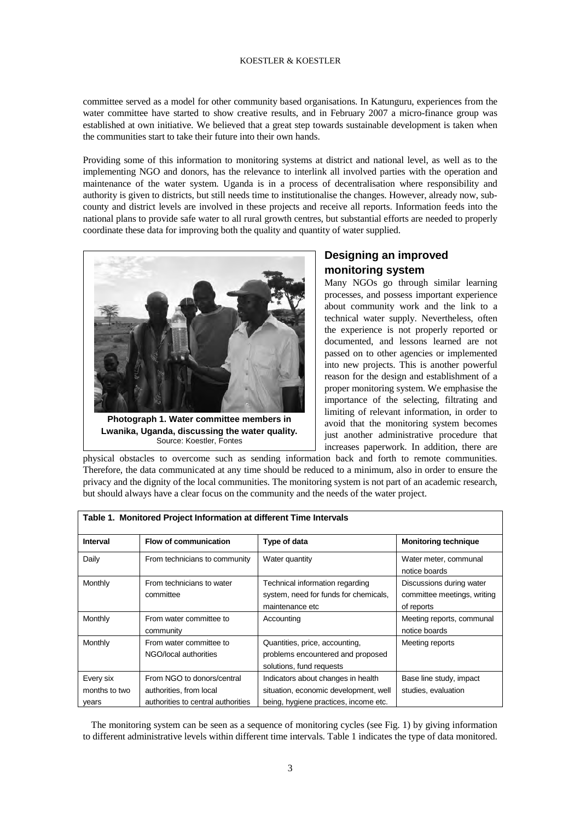#### KOESTLER & KOESTLER

committee served as a model for other community based organisations. In Katunguru, experiences from the water committee have started to show creative results, and in February 2007 a micro-finance group was established at own initiative. We believed that a great step towards sustainable development is taken when the communities start to take their future into their own hands.

Providing some of this information to monitoring systems at district and national level, as well as to the implementing NGO and donors, has the relevance to interlink all involved parties with the operation and maintenance of the water system. Uganda is in a process of decentralisation where responsibility and authority is given to districts, but still needs time to institutionalise the changes. However, already now, subcounty and district levels are involved in these projects and receive all reports. Information feeds into the national plans to provide safe water to all rural growth centres, but substantial efforts are needed to properly coordinate these data for improving both the quality and quantity of water supplied.



**Photograph 1. Water committee members in Lwanika, Uganda, discussing the water quality.**  Source: Koestler, Fontes

## **Designing an improved monitoring system**

Many NGOs go through similar learning processes, and possess important experience about community work and the link to a technical water supply. Nevertheless, often the experience is not properly reported or documented, and lessons learned are not passed on to other agencies or implemented into new projects. This is another powerful reason for the design and establishment of a proper monitoring system. We emphasise the importance of the selecting, filtrating and limiting of relevant information, in order to avoid that the monitoring system becomes just another administrative procedure that increases paperwork. In addition, there are

physical obstacles to overcome such as sending information back and forth to remote communities. Therefore, the data communicated at any time should be reduced to a minimum, also in order to ensure the privacy and the dignity of the local communities. The monitoring system is not part of an academic research, but should always have a clear focus on the community and the needs of the water project.

| Interval                            | Flow of communication                                                                       | Type of data                                                                                                         | <b>Monitoring technique</b>                                           |
|-------------------------------------|---------------------------------------------------------------------------------------------|----------------------------------------------------------------------------------------------------------------------|-----------------------------------------------------------------------|
| Daily                               | From technicians to community                                                               | Water quantity                                                                                                       | Water meter, communal<br>notice boards                                |
| Monthly                             | From technicians to water<br>committee                                                      | Technical information regarding<br>system, need for funds for chemicals,<br>maintenance etc                          | Discussions during water<br>committee meetings, writing<br>of reports |
| Monthly                             | From water committee to<br>community                                                        | Accounting                                                                                                           | Meeting reports, communal<br>notice boards                            |
| Monthly                             | From water committee to<br>NGO/local authorities                                            | Quantities, price, accounting,<br>problems encountered and proposed<br>solutions, fund requests                      | Meeting reports                                                       |
| Every six<br>months to two<br>years | From NGO to donors/central<br>authorities, from local<br>authorities to central authorities | Indicators about changes in health<br>situation, economic development, well<br>being, hygiene practices, income etc. | Base line study, impact<br>studies, evaluation                        |

The monitoring system can be seen as a sequence of monitoring cycles (see Fig. 1) by giving information to different administrative levels within different time intervals. Table 1 indicates the type of data monitored.